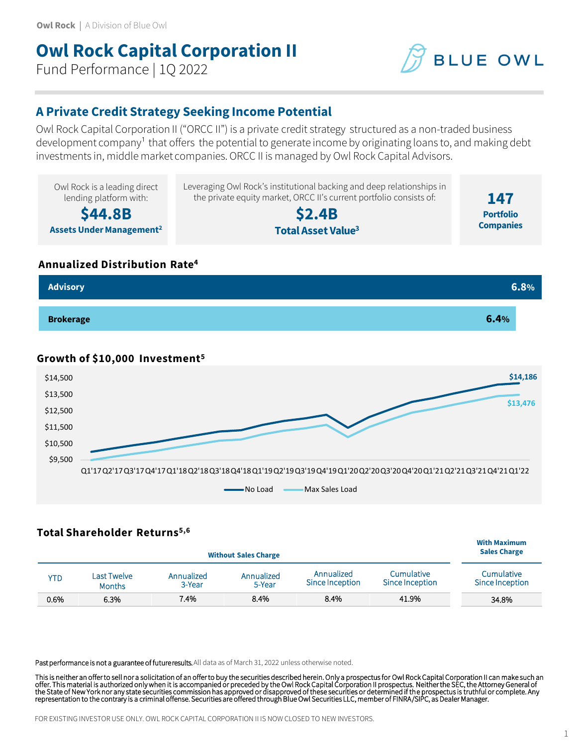# **Owl Rock Capital Corporation II**

Fund Performance | 1Q 2022



## **A Private Credit Strategy Seeking Income Potential**

Owl Rock Capital Corporation II ("ORCC II") is a private credit strategy structured as a non-traded business development company<sup>1</sup> that offers the potential to generate income by originating loans to, and making debt investments in, middle market companies. ORCC II is managed by Owl Rock Capital Advisors.



### **Annualized Distribution Rate<sup>4</sup>**



## **Growth of \$10,000 Investment<sup>5</sup>**



## **Total Shareholder Returns5,6**

| <b>Without Sales Charge</b> |                              |                      |                      |                               |                               | <b>With Maximum</b><br><b>Sales Charge</b> |
|-----------------------------|------------------------------|----------------------|----------------------|-------------------------------|-------------------------------|--------------------------------------------|
| YTD                         | Last Twelve<br><b>Months</b> | Annualized<br>3-Year | Annualized<br>5-Year | Annualized<br>Since Inception | Cumulative<br>Since Inception | Cumulative<br>Since Inception              |
| 0.6%                        | 6.3%                         | 7.4%                 | 8.4%                 | 8.4%                          | 41.9%                         | 34.8%                                      |

Past performance is not a guarantee of future results. All data as of March 31, 2022 unless otherwise noted.

This is neither an offer to sell nor a solicitation of an offer to buy the securities described herein. Only a prospectus for Owl Rock Capital Corporation II can make such an<br>offer. This material is authorized only when it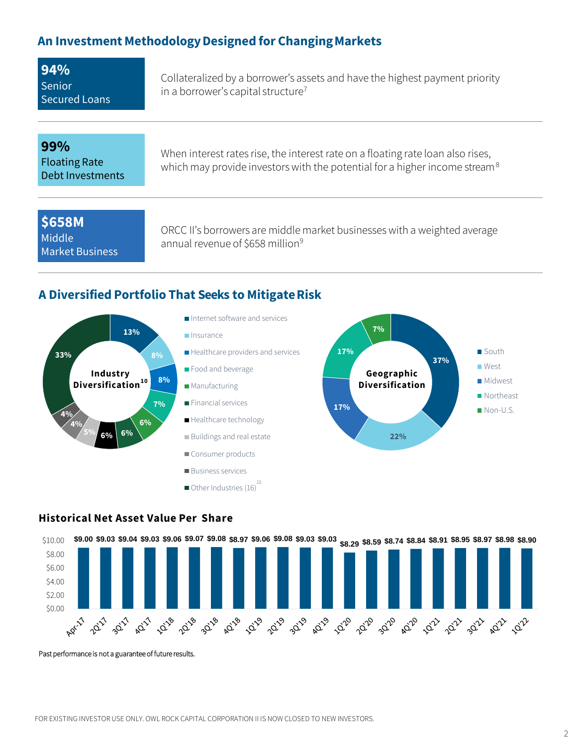## **An Investment MethodologyDesigned for ChangingMarkets**

| 94%                  |
|----------------------|
| Senior               |
| <b>Secured Loans</b> |

Collateralized by a borrower's assets and have the highest payment priority in a borrower's capital structure<sup>7</sup>

## **99%**

Floating Rate Debt Investments

When interest rates rise, the interest rate on a floating rate loan also rises, which may provide investors with the potential for a higher income stream<sup>8</sup>

**\$658M** Middle Market Business

ORCC II's borrowers are middle market businesses with a weighted average annual revenue of \$658 million<sup>9</sup>

## **A Diversified Portfolio That Seeks to MitigateRisk**



## **Historical Net Asset Value Per Share**



Past performance is not a guarantee of future results.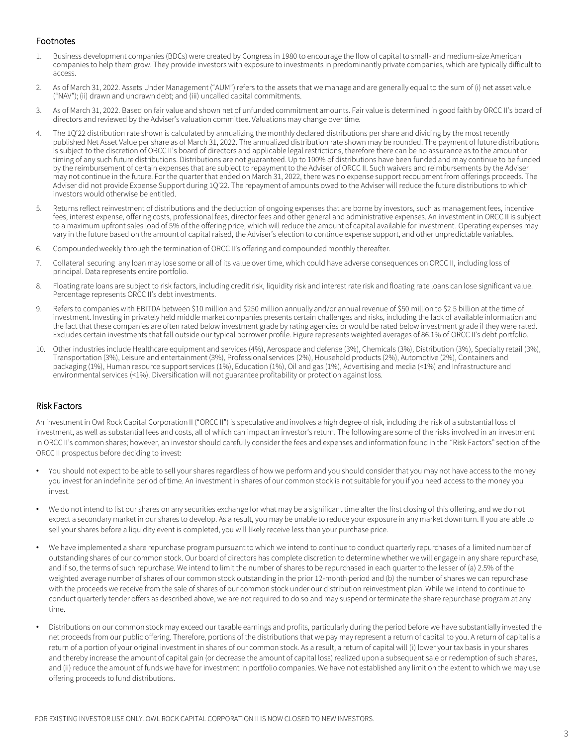### Footnotes

- 1. Business development companies (BDCs) were created by Congress in 1980 to encourage the flow of capital to small- and medium-size American companies to help them grow. They provide investors with exposure to investments in predominantly private companies, which are typically difficult to access.
- 2. As of March 31, 2022. Assets Under Management ("AUM") refers to the assets that we manage and are generally equal to the sum of (i) net asset value ("NAV"); (ii) drawn and undrawn debt; and (iii) uncalled capital commitments.
- 3. As of March 31, 2022. Based on fair value and shown net of unfunded commitment amounts. Fair value is determined in good faith by ORCC II's board of directors and reviewed by the Adviser's valuation committee. Valuations may change over time.
- 4. The 1Q'22 distribution rate shown is calculated by annualizing the monthly declared distributions per share and dividing by the most recently published Net Asset Value per share as of March 31, 2022. The annualized distribution rate shown may be rounded. The payment of future distributions is subject to the discretion of ORCC II's board of directors and applicable legal restrictions, therefore there can be no assurance as to the amount or timing of any such future distributions. Distributions are not guaranteed. Up to 100% of distributions have been funded and may continue to be funded by the reimbursement of certain expenses that are subject to repayment to the Adviser of ORCC II. Such waivers and reimbursements by the Adviser may not continue in the future. For the quarter that ended on March 31, 2022, there was no expense support recoupment from offerings proceeds. The Adviser did not provide Expense Support during 1Q'22. The repayment of amounts owed to the Adviser will reduce the future distributions to which investors would otherwise be entitled.
- 5. Returns reflect reinvestment of distributions and the deduction of ongoing expenses that are borne by investors, such as management fees, incentive fees, interest expense, offering costs, professional fees, director fees and other general and administrative expenses. An investment in ORCC II is subject to a maximum upfront sales load of 5% of the offering price, which will reduce the amount of capital available for investment. Operating expenses may vary in the future based on the amount of capital raised, the Adviser's election to continue expense support, and other unpredictable variables.
- 6. Compounded weekly through the termination of ORCC II's offering and compounded monthly thereafter.
- 7. Collateral securing any loan may lose some or all of its value over time, which could have adverse consequences on ORCC II, including loss of principal. Data represents entire portfolio.
- 8. Floating rate loans are subject to risk factors, including credit risk, liquidity risk and interest rate risk and floating rate loans can lose significant value. Percentage represents ORCC II's debt investments.
- 9. Refers to companies with EBITDA between \$10 million and \$250 million annually and/or annual revenue of \$50 million to \$2.5 billion at the time of investment. Investing in privately held middle market companies presents certain challenges and risks, including the lack of available information and the fact that these companies are often rated below investment grade by rating agencies or would be rated below investment grade if they were rated. Excludes certain investments that fall outside our typical borrower profile. Figure represents weighted averages of 86.1% of ORCC II's debt portfolio.
- 10. Other industries include Healthcare equipment and services (4%), Aerospace and defense (3%), Chemicals (3%), Distribution (3%), Specialty retail (3%), Transportation (3%), Leisure and entertainment (3%), Professional services (2%), Household products (2%), Automotive (2%), Containers and packaging (1%), Human resource support services (1%), Education (1%), Oil and gas (1%), Advertising and media (<1%) and Infrastructure and environmental services (<1%). Diversification will not guarantee profitability or protection against loss.

### Risk Factors

An investment in Owl Rock Capital Corporation II ("ORCC II") is speculative and involves a high degree of risk, including the risk of a substantial loss of investment, as well as substantial fees and costs, all of which can impact an investor's return. The following are some of the risks involved in an investment in ORCC II's common shares; however, an investor should carefully consider the fees and expenses and information found in the "Risk Factors" section of the ORCC II prospectus before deciding to invest:

- You should not expect to be able to sell your shares regardless of how we perform and you should consider that you may not have access to the money you invest for an indefinite period of time. An investment in shares of our common stock is not suitable for you if you need access to the money you invest.
- We do not intend to list our shares on any securities exchange for what may be a significant time after the first closing of this offering, and we do not expect a secondary market in our shares to develop. As a result, you may be unable to reduce your exposure in any market downturn. If you are able to sell your shares before a liquidity event is completed, you will likely receive less than your purchase price.
- We have implemented a share repurchase program pursuant to which we intend to continue to conduct quarterly repurchases of a limited number of outstanding shares of our common stock. Our board of directors has complete discretion to determine whether we will engage in any share repurchase, and if so, the terms of such repurchase. We intend to limit the number of shares to be repurchased in each quarter to the lesser of (a) 2.5% of the weighted average number of shares of our common stock outstanding in the prior 12-month period and (b) the number of shares we can repurchase with the proceeds we receive from the sale of shares of our common stock under our distribution reinvestment plan. While we intend to continue to conduct quarterly tender offers as described above, we are not required to do so and may suspend or terminate the share repurchase program at any time.
- Distributions on our common stock may exceed our taxable earnings and profits, particularly during the period before we have substantially invested the net proceeds from our public offering. Therefore, portions of the distributions that we pay may represent a return of capital to you. A return of capital is a return of a portion of your original investment in shares of our common stock. As a result, a return of capital will (i) lower your tax basis in your shares and thereby increase the amount of capital gain (or decrease the amount of capital loss) realized upon a subsequent sale or redemption of such shares, and (ii) reduce the amount of funds we have for investment in portfolio companies. We have not established any limit on the extent to which we may use offering proceeds to fund distributions.